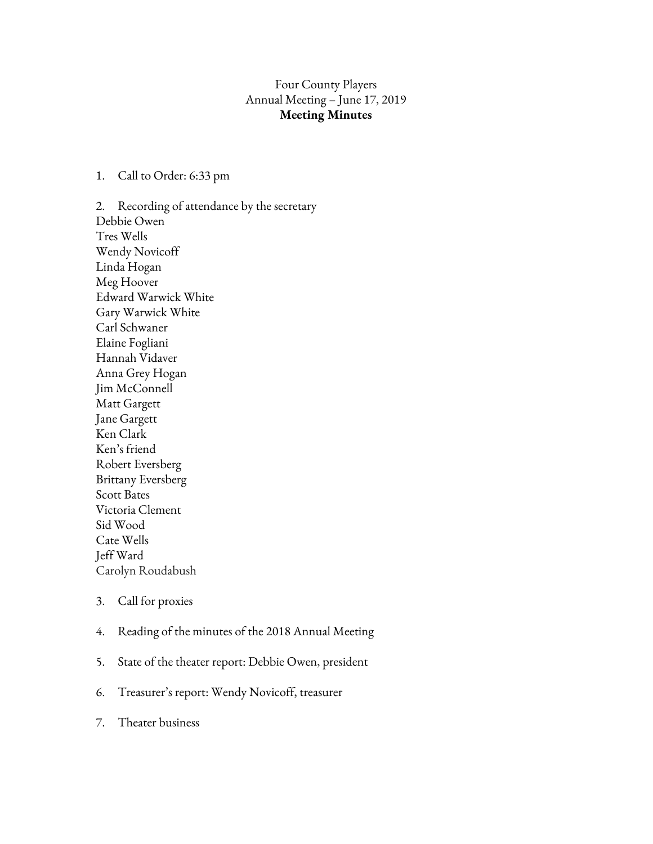## Four County Players Annual Meeting – June 17, 2019 **Meeting Minutes**

## 1. Call to Order: 6:33 pm

2. Recording of attendance by the secretary Debbie Owen Tres Wells Wendy Novicoff Linda Hogan Meg Hoover Edward Warwick White Gary Warwick White Carl Schwaner Elaine Fogliani Hannah Vidaver Anna Grey Hogan Jim McConnell Matt Gargett Jane Gargett Ken Clark Ken's friend Robert Eversberg Brittany Eversberg Scott Bates Victoria Clement Sid Wood Cate Wells Jeff Ward Carolyn Roudabush

- 3. Call for proxies
- 4. Reading of the minutes of the 2018 Annual Meeting
- 5. State of the theater report: Debbie Owen, president
- 6. Treasurer's report: Wendy Novicoff, treasurer
- 7. Theater business